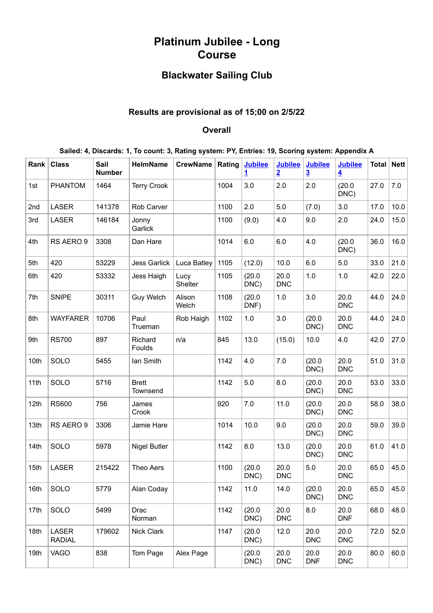# **Platinum Jubilee - Long Course**

## **Blackwater Sailing Club**

## **Results are provisional as of 15;00 on 2/5/22**

#### **Overall**

| Sailed: 4, Discards: 1, To count: 3, Rating system: PY, Entries: 19, Scoring system: Appendix A |  |  |  |  |
|-------------------------------------------------------------------------------------------------|--|--|--|--|
|                                                                                                 |  |  |  |  |

| Rank | <b>Class</b>           | Sail<br><b>Number</b> | <b>HelmName</b>          | <b>CrewName</b> | Rating | <b>Jubilee</b><br>1 | <b>Jubilee</b><br>$\overline{2}$ | <b>Jubilee</b><br>$\overline{\mathbf{3}}$ | <b>Jubilee</b><br>$\overline{\mathbf{4}}$ | <b>Total</b> | Net  |
|------|------------------------|-----------------------|--------------------------|-----------------|--------|---------------------|----------------------------------|-------------------------------------------|-------------------------------------------|--------------|------|
| 1st  | <b>PHANTOM</b>         | 1464                  | <b>Terry Crook</b>       |                 | 1004   | 3.0                 | 2.0                              | 2.0                                       | (20.0)<br>DNC)                            | 27.0         | 7.0  |
| 2nd  | LASER                  | 141378                | Rob Carver               |                 | 1100   | 2.0                 | 5.0                              | (7.0)                                     | 3.0                                       | 17.0         | 10.0 |
| 3rd  | LASER                  | 146184                | Jonny<br>Garlick         |                 | 1100   | (9.0)               | 4.0                              | 9.0                                       | 2.0                                       | 24.0         | 15.0 |
| 4th  | RS AERO 9              | 3308                  | Dan Hare                 |                 | 1014   | 6.0                 | 6.0                              | 4.0                                       | (20.0)<br>DNC)                            | 36.0         | 16.0 |
| 5th  | 420                    | 53229                 | <b>Jess Garlick</b>      | Luca Batley     | 1105   | (12.0)              | 10.0                             | 6.0                                       | 5.0                                       | 33.0         | 21.0 |
| 6th  | 420                    | 53332                 | Jess Haigh               | Lucy<br>Shelter | 1105   | (20.0)<br>DNC)      | 20.0<br><b>DNC</b>               | 1.0                                       | 1.0                                       | 42.0         | 22.0 |
| 7th  | <b>SNIPE</b>           | 30311                 | <b>Guy Welch</b>         | Alison<br>Welch | 1108   | (20.0)<br>DNF)      | 1.0                              | 3.0                                       | 20.0<br><b>DNC</b>                        | 44.0         | 24.0 |
| 8th  | <b>WAYFARER</b>        | 10706                 | Paul<br>Trueman          | Rob Haigh       | 1102   | 1.0                 | 3.0                              | (20.0)<br>DNC)                            | 20.0<br><b>DNC</b>                        | 44.0         | 24.0 |
| 9th  | <b>RS700</b>           | 897                   | Richard<br>Foulds        | n/a             | 845    | 13.0                | (15.0)                           | 10.0                                      | 4.0                                       | 42.0         | 27.0 |
| 10th | SOLO                   | 5455                  | Ian Smith                |                 | 1142   | 4.0                 | 7.0                              | (20.0)<br>DNC)                            | 20.0<br><b>DNC</b>                        | 51.0         | 31.0 |
| 11th | SOLO                   | 5716                  | <b>Brett</b><br>Townsend |                 | 1142   | 5.0                 | 8.0                              | (20.0)<br>DNC)                            | 20.0<br><b>DNC</b>                        | 53.0         | 33.0 |
| 12th | <b>RS600</b>           | 756                   | James<br>Crook           |                 | 920    | 7.0                 | 11.0                             | (20.0)<br>DNC)                            | 20.0<br><b>DNC</b>                        | 58.0         | 38.0 |
| 13th | RS AERO 9              | 3306                  | Jamie Hare               |                 | 1014   | 10.0                | 9.0                              | (20.0)<br>DNC)                            | 20.0<br><b>DNC</b>                        | 59.0         | 39.0 |
| 14th | SOLO                   | 5978                  | <b>Nigel Butler</b>      |                 | 1142   | 8.0                 | 13.0                             | (20.0)<br>DNC)                            | 20.0<br><b>DNC</b>                        | 61.0         | 41.0 |
| 15th | <b>LASER</b>           | 215422                | Theo Aers                |                 | 1100   | (20.0)<br>DNC)      | 20.0<br><b>DNC</b>               | 5.0                                       | 20.0<br><b>DNC</b>                        | 65.0         | 45.0 |
| 16th | SOLO                   | 5779                  | Alan Coday               |                 | 1142   | 11.0                | 14.0                             | (20.0)<br>DNC)                            | 20.0<br><b>DNC</b>                        | 65.0         | 45.0 |
| 17th | SOLO                   | 5499                  | Drac<br>Norman           |                 | 1142   | (20.0)<br>DNC)      | 20.0<br><b>DNC</b>               | 8.0                                       | 20.0<br><b>DNF</b>                        | 68.0         | 48.0 |
| 18th | LASER<br><b>RADIAL</b> | 179602                | Nick Clark               |                 | 1147   | (20.0)<br>DNC)      | 12.0                             | 20.0<br><b>DNC</b>                        | 20.0<br><b>DNC</b>                        | 72.0         | 52.0 |
| 19th | VAGO                   | 838                   | Tom Page                 | Alex Page       |        | (20.0)<br>DNC)      | 20.0<br><b>DNC</b>               | 20.0<br><b>DNF</b>                        | 20.0<br><b>DNC</b>                        | 80.0         | 60.0 |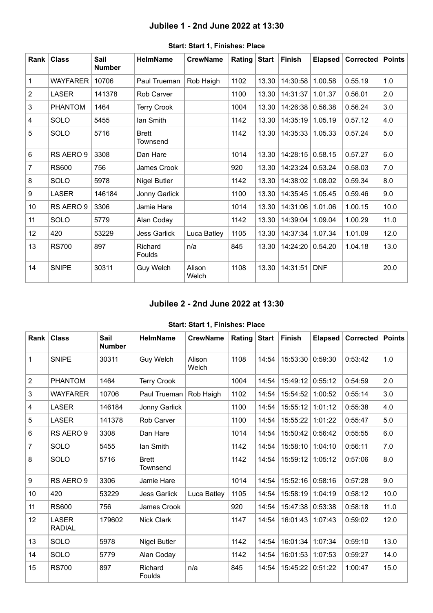## **Jubilee 1 - 2nd June 2022 at 13:30**

<span id="page-1-0"></span>

| Rank           | <b>Class</b>    | <b>Sail</b><br><b>Number</b> | <b>HelmName</b>          | <b>CrewName</b> | Rating | <b>Start</b> | <b>Finish</b>    | <b>Elapsed</b> | Corrected | <b>Points</b> |
|----------------|-----------------|------------------------------|--------------------------|-----------------|--------|--------------|------------------|----------------|-----------|---------------|
| 1              | <b>WAYFARER</b> | 10706                        | Paul Trueman             | Rob Haigh       | 1102   | 13.30        | 14:30:58         | 1.00.58        | 0.55.19   | 1.0           |
| $\overline{2}$ | <b>LASER</b>    | 141378                       | Rob Carver               |                 | 1100   | 13.30        | 14:31:37         | 1.01.37        | 0.56.01   | 2.0           |
| $\mathfrak{B}$ | <b>PHANTOM</b>  | 1464                         | <b>Terry Crook</b>       |                 | 1004   | 13.30        | 14:26:38 0.56.38 |                | 0.56.24   | 3.0           |
| 4              | SOLO            | 5455                         | lan Smith                |                 | 1142   | 13.30        | 14:35:19         | 1.05.19        | 0.57.12   | 4.0           |
| $\overline{5}$ | SOLO            | 5716                         | <b>Brett</b><br>Townsend |                 | 1142   | 13.30        | 14:35:33         | 1.05.33        | 0.57.24   | 5.0           |
| 6              | RS AERO 9       | 3308                         | Dan Hare                 |                 | 1014   | 13.30        | 14:28:15         | 0.58.15        | 0.57.27   | 6.0           |
| $\overline{7}$ | <b>RS600</b>    | 756                          | James Crook              |                 | 920    | 13.30        | 14:23:24 0.53.24 |                | 0.58.03   | 7.0           |
| 8              | <b>SOLO</b>     | 5978                         | Nigel Butler             |                 | 1142   | 13.30        | 14:38:02         | 1.08.02        | 0.59.34   | 8.0           |
| 9              | <b>LASER</b>    | 146184                       | Jonny Garlick            |                 | 1100   | 13.30        | 14:35:45         | 1.05.45        | 0.59.46   | 9.0           |
| 10             | RS AERO 9       | 3306                         | Jamie Hare               |                 | 1014   | 13.30        | 14:31:06         | 1.01.06        | 1.00.15   | 10.0          |
| 11             | SOLO            | 5779                         | Alan Coday               |                 | 1142   | 13.30        | 14:39:04         | 1.09.04        | 1.00.29   | 11.0          |
| 12             | 420             | 53229                        | Jess Garlick             | Luca Batley     | 1105   | 13.30        | 14:37:34         | 1.07.34        | 1.01.09   | 12.0          |
| 13             | <b>RS700</b>    | 897                          | Richard<br>Foulds        | n/a             | 845    | 13.30        | 14:24:20         | 0.54.20        | 1.04.18   | 13.0          |
| 14             | <b>SNIPE</b>    | 30311                        | Guy Welch                | Alison<br>Welch | 1108   | 13.30        | 14:31:51         | <b>DNF</b>     |           | 20.0          |

#### **Start: Start 1, Finishes: Place**

## **Jubilee 2 - 2nd June 2022 at 13:30**

### **Start: Start 1, Finishes: Place**

<span id="page-1-1"></span>

| <b>Rank</b>             | <b>Class</b>                  | <b>Sail</b><br><b>Number</b> | <b>HelmName</b>          | <b>CrewName</b> | Rating | <b>Start</b> | <b>Finish</b> | <b>Elapsed</b> | <b>Corrected</b> | <b>Points</b> |
|-------------------------|-------------------------------|------------------------------|--------------------------|-----------------|--------|--------------|---------------|----------------|------------------|---------------|
| $\mathbf{1}$            | <b>SNIPE</b>                  | 30311                        | Guy Welch                | Alison<br>Welch | 1108   | 14:54        | 15:53:30      | 0:59:30        | 0:53:42          | 1.0           |
| $\overline{2}$          | <b>PHANTOM</b>                | 1464                         | <b>Terry Crook</b>       |                 | 1004   | 14:54        | 15:49:12      | 0:55:12        | 0:54:59          | 2.0           |
| 3                       | <b>WAYFARER</b>               | 10706                        | Paul Trueman   Rob Haigh |                 | 1102   | 14:54        | 15:54:52      | 1:00:52        | 0:55:14          | 3.0           |
| $\overline{\mathbf{4}}$ | <b>LASER</b>                  | 146184                       | Jonny Garlick            |                 | 1100   | 14:54        | 15:55:12      | 1:01:12        | 0:55:38          | 4.0           |
| 5                       | <b>LASER</b>                  | 141378                       | Rob Carver               |                 | 1100   | 14:54        | 15:55:22      | 1:01:22        | 0:55:47          | 5.0           |
| $6\phantom{1}$          | RS AERO 9                     | 3308                         | Dan Hare                 |                 | 1014   | 14:54        | 15:50:42      | 0:56:42        | 0:55:55          | 6.0           |
| $\overline{7}$          | SOLO                          | 5455                         | lan Smith                |                 | 1142   | 14:54        | 15:58:10      | 1:04:10        | 0:56:11          | 7.0           |
| 8                       | SOLO                          | 5716                         | <b>Brett</b><br>Townsend |                 | 1142   | 14:54        | 15:59:12      | 1:05:12        | 0:57:06          | 8.0           |
| 9                       | RS AERO 9                     | 3306                         | Jamie Hare               |                 | 1014   | 14:54        | 15:52:16      | 0:58:16        | 0:57:28          | 9.0           |
| 10                      | 420                           | 53229                        | <b>Jess Garlick</b>      | Luca Batley     | 1105   | 14:54        | 15:58:19      | 1:04:19        | 0:58:12          | 10.0          |
| 11                      | <b>RS600</b>                  | 756                          | James Crook              |                 | 920    | 14:54        | 15:47:38      | 0:53:38        | 0:58:18          | 11.0          |
| 12                      | <b>LASER</b><br><b>RADIAL</b> | 179602                       | <b>Nick Clark</b>        |                 | 1147   | 14:54        | 16:01:43      | 1:07:43        | 0:59:02          | 12.0          |
| 13                      | SOLO                          | 5978                         | Nigel Butler             |                 | 1142   | 14:54        | 16:01:34      | 1:07:34        | 0:59:10          | 13.0          |
| 14                      | SOLO                          | 5779                         | Alan Coday               |                 | 1142   | 14:54        | 16:01:53      | 1:07:53        | 0:59:27          | 14.0          |
| 15                      | <b>RS700</b>                  | 897                          | Richard<br>Foulds        | n/a             | 845    | 14:54        | 15:45:22      | 0:51:22        | 1:00:47          | 15.0          |